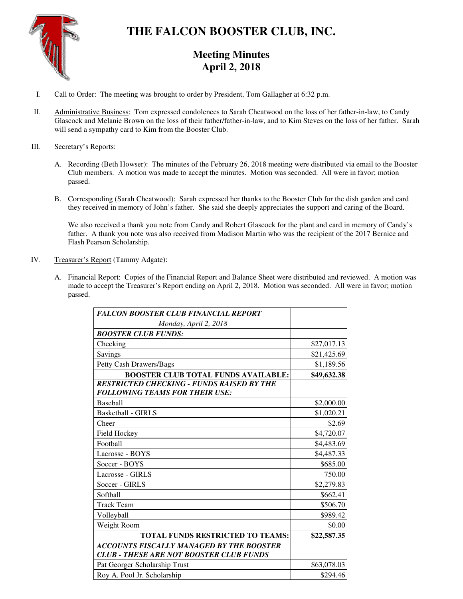

# **THE FALCON BOOSTER CLUB, INC.**

## **Meeting Minutes April 2, 2018**

- I. Call to Order: The meeting was brought to order by President, Tom Gallagher at 6:32 p.m.
- II. Administrative Business: Tom expressed condolences to Sarah Cheatwood on the loss of her father-in-law, to Candy Glascock and Melanie Brown on the loss of their father/father-in-law, and to Kim Steves on the loss of her father. Sarah will send a sympathy card to Kim from the Booster Club.

### III. Secretary's Reports:

- A. Recording (Beth Howser): The minutes of the February 26, 2018 meeting were distributed via email to the Booster Club members. A motion was made to accept the minutes. Motion was seconded. All were in favor; motion passed.
- B. Corresponding (Sarah Cheatwood): Sarah expressed her thanks to the Booster Club for the dish garden and card they received in memory of John's father. She said she deeply appreciates the support and caring of the Board.

We also received a thank you note from Candy and Robert Glascock for the plant and card in memory of Candy's father. A thank you note was also received from Madison Martin who was the recipient of the 2017 Bernice and Flash Pearson Scholarship.

- IV. Treasurer's Report (Tammy Adgate):
	- A. Financial Report: Copies of the Financial Report and Balance Sheet were distributed and reviewed. A motion was made to accept the Treasurer's Report ending on April 2, 2018. Motion was seconded. All were in favor; motion passed.

| <b>FALCON BOOSTER CLUB FINANCIAL REPORT</b>                                                       |             |
|---------------------------------------------------------------------------------------------------|-------------|
| Monday, April 2, 2018                                                                             |             |
| <b>BOOSTER CLUB FUNDS:</b>                                                                        |             |
| Checking                                                                                          | \$27,017.13 |
| Savings                                                                                           | \$21,425.69 |
| Petty Cash Drawers/Bags                                                                           | \$1,189.56  |
| <b>BOOSTER CLUB TOTAL FUNDS AVAILABLE:</b>                                                        | \$49,632.38 |
| <b>RESTRICTED CHECKING - FUNDS RAISED BY THE</b><br><b>FOLLOWING TEAMS FOR THEIR USE:</b>         |             |
| <b>Baseball</b>                                                                                   | \$2,000.00  |
| <b>Basketball - GIRLS</b>                                                                         | \$1,020.21  |
| Cheer                                                                                             | \$2.69      |
| Field Hockey                                                                                      | \$4,720.07  |
| Football                                                                                          | \$4,483.69  |
| Lacrosse - BOYS                                                                                   | \$4,487.33  |
| Soccer - BOYS                                                                                     | \$685.00    |
| Lacrosse - GIRLS                                                                                  | 750.00      |
| Soccer - GIRLS                                                                                    | \$2,279.83  |
| Softball                                                                                          | \$662.41    |
| <b>Track Team</b>                                                                                 | \$506.70    |
| Volleyball                                                                                        | \$989.42    |
| Weight Room                                                                                       | \$0.00      |
| <b>TOTAL FUNDS RESTRICTED TO TEAMS:</b>                                                           | \$22,587.35 |
| <b>ACCOUNTS FISCALLY MANAGED BY THE BOOSTER</b><br><b>CLUB - THESE ARE NOT BOOSTER CLUB FUNDS</b> |             |
| Pat Georger Scholarship Trust                                                                     | \$63,078.03 |
| Roy A. Pool Jr. Scholarship                                                                       | \$294.46    |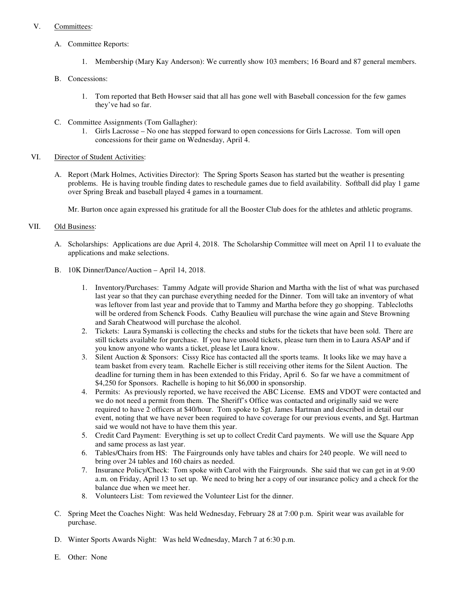### V. Committees:

- A. Committee Reports:
	- 1. Membership (Mary Kay Anderson): We currently show 103 members; 16 Board and 87 general members.
- B. Concessions:
	- 1. Tom reported that Beth Howser said that all has gone well with Baseball concession for the few games they've had so far.
- C. Committee Assignments (Tom Gallagher):
	- 1. Girls Lacrosse No one has stepped forward to open concessions for Girls Lacrosse. Tom will open concessions for their game on Wednesday, April 4.
- VI. Director of Student Activities:
	- A. Report (Mark Holmes, Activities Director): The Spring Sports Season has started but the weather is presenting problems. He is having trouble finding dates to reschedule games due to field availability. Softball did play 1 game over Spring Break and baseball played 4 games in a tournament.

Mr. Burton once again expressed his gratitude for all the Booster Club does for the athletes and athletic programs.

### VII. Old Business:

- A. Scholarships: Applications are due April 4, 2018. The Scholarship Committee will meet on April 11 to evaluate the applications and make selections.
- B. 10K Dinner/Dance/Auction April 14, 2018.
	- 1. Inventory/Purchases: Tammy Adgate will provide Sharion and Martha with the list of what was purchased last year so that they can purchase everything needed for the Dinner. Tom will take an inventory of what was leftover from last year and provide that to Tammy and Martha before they go shopping. Tablecloths will be ordered from Schenck Foods. Cathy Beaulieu will purchase the wine again and Steve Browning and Sarah Cheatwood will purchase the alcohol.
	- 2. Tickets: Laura Symanski is collecting the checks and stubs for the tickets that have been sold. There are still tickets available for purchase. If you have unsold tickets, please turn them in to Laura ASAP and if you know anyone who wants a ticket, please let Laura know.
	- 3. Silent Auction & Sponsors: Cissy Rice has contacted all the sports teams. It looks like we may have a team basket from every team. Rachelle Eicher is still receiving other items for the Silent Auction. The deadline for turning them in has been extended to this Friday, April 6. So far we have a commitment of \$4,250 for Sponsors. Rachelle is hoping to hit \$6,000 in sponsorship.
	- 4. Permits: As previously reported, we have received the ABC License. EMS and VDOT were contacted and we do not need a permit from them. The Sheriff's Office was contacted and originally said we were required to have 2 officers at \$40/hour. Tom spoke to Sgt. James Hartman and described in detail our event, noting that we have never been required to have coverage for our previous events, and Sgt. Hartman said we would not have to have them this year.
	- 5. Credit Card Payment: Everything is set up to collect Credit Card payments. We will use the Square App and same process as last year.
	- 6. Tables/Chairs from HS: The Fairgrounds only have tables and chairs for 240 people. We will need to bring over 24 tables and 160 chairs as needed.
	- 7. Insurance Policy/Check: Tom spoke with Carol with the Fairgrounds. She said that we can get in at 9:00 a.m. on Friday, April 13 to set up. We need to bring her a copy of our insurance policy and a check for the balance due when we meet her.
	- 8. Volunteers List: Tom reviewed the Volunteer List for the dinner.
- C. Spring Meet the Coaches Night: Was held Wednesday, February 28 at 7:00 p.m. Spirit wear was available for purchase.
- D. Winter Sports Awards Night: Was held Wednesday, March 7 at 6:30 p.m.
- E. Other: None